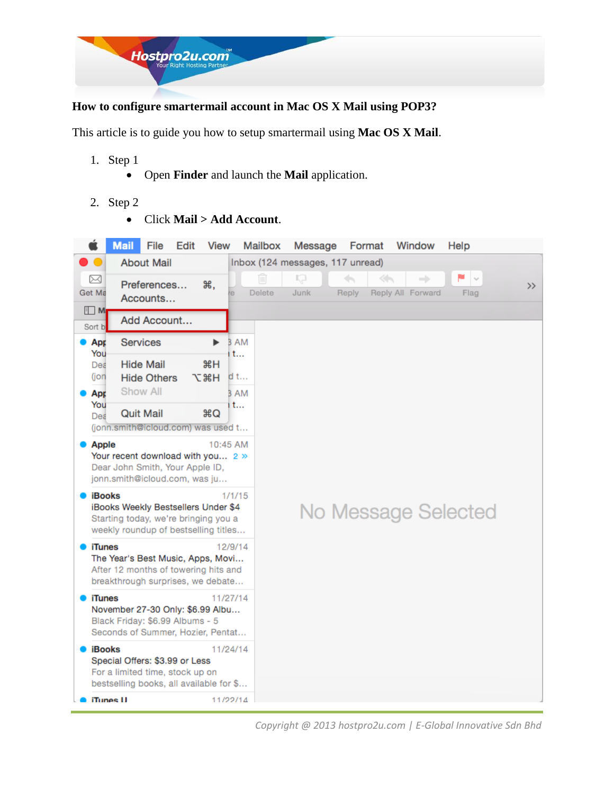

### **How to configure smartermail account in Mac OS X Mail using POP3?**

This article is to guide you how to setup smartermail using **Mac OS X Mail**.

- 1. Step 1
	- Open **Finder** and launch the **Mail** application.
- 2. Step 2
	- Click **Mail > Add Account**.



*Copyright @ 2013 hostpro2u.com | E-Global Innovative Sdn Bhd*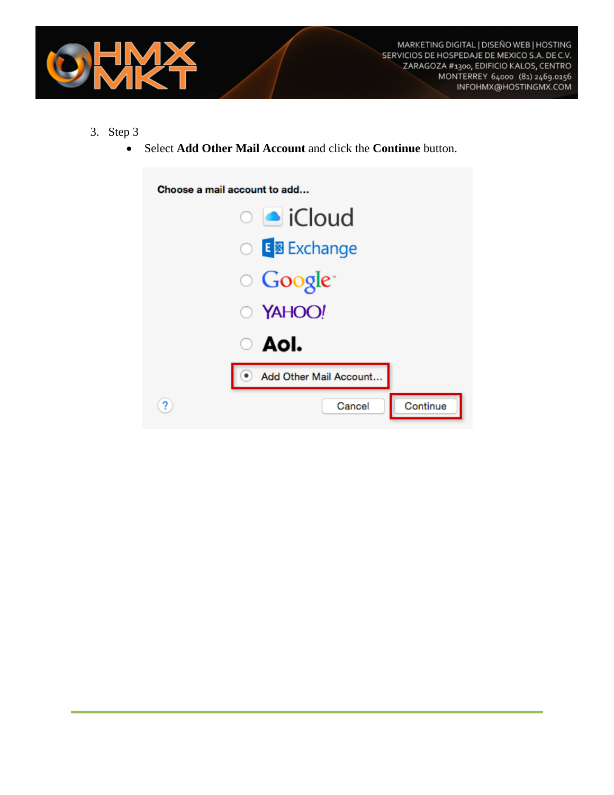

- 3. Step 3
	- Select **Add Other Mail Account** and click the **Continue** button.

| Choose a mail account to add |
|------------------------------|
| ○ loud                       |
| ○ E <mark>图 Exchange</mark>  |
| ○ Google <sup>-</sup>        |
| O YAHOO!                     |
| $\circ$ AoI.                 |
| Add Other Mail Account       |
| Continue<br>Cancel           |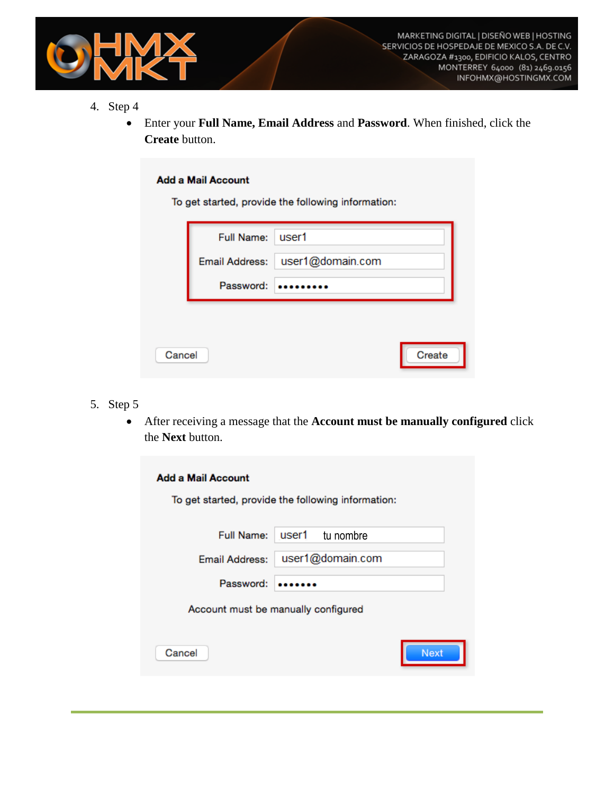

- 4. Step 4
	- Enter your **Full Name, Email Address** and **Password**. When finished, click the **Create** button.

#### **Add a Mail Account**

To get started, provide the following information:

|        | <b>Full Name:</b> | l user1          |        |
|--------|-------------------|------------------|--------|
|        | Email Address:    | user1@domain.com |        |
|        | Password:         |                  |        |
|        |                   |                  |        |
| Cancel |                   |                  | Create |

- 5. Step 5
	- After receiving a message that the **Account must be manually configured** click the **Next** button.

| <b>Add a Mail Account</b>           | To get started, provide the following information: |  |
|-------------------------------------|----------------------------------------------------|--|
|                                     | Full Name: user1 tu nombre                         |  |
| Email Address:                      | user1@domain.com                                   |  |
| Password:                           |                                                    |  |
| Account must be manually configured |                                                    |  |
| Cancel                              | <b>Next</b>                                        |  |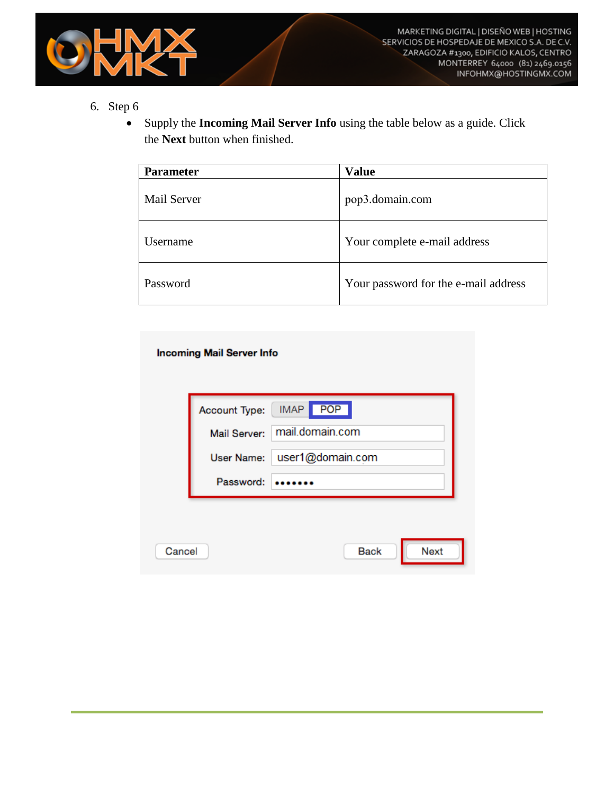

 Supply the **Incoming Mail Server Info** using the table below as a guide. Click the **Next** button when finished.

| <b>Parameter</b> | <b>Value</b>                         |
|------------------|--------------------------------------|
| Mail Server      | pop3.domain.com                      |
| Username         | Your complete e-mail address         |
| Password         | Your password for the e-mail address |

#### **Incoming Mail Server Info**

|        | Mail Server: | Account Type:   IMAP   POP  <br>mail.domain.com |
|--------|--------------|-------------------------------------------------|
|        | User Name:   | user1@domain.com                                |
|        | Password:    |                                                 |
|        |              |                                                 |
| Cancel |              | <b>Next</b><br><b>Back</b>                      |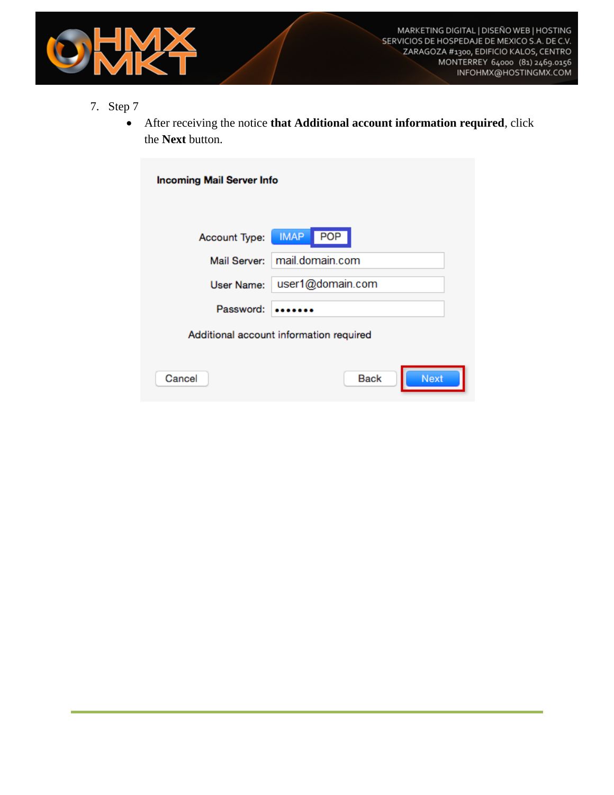

- 7. Step 7
	- After receiving the notice **that Additional account information required**, click the **Next** button.

| <b>Incoming Mail Server Info</b>        |                            |  |
|-----------------------------------------|----------------------------|--|
|                                         |                            |  |
| Account Type:                           | <b>POP</b><br><b>IMAP</b>  |  |
| Mail Server:                            | mail.domain.com            |  |
| User Name:                              | user1@domain.com           |  |
| Password:                               |                            |  |
| Additional account information required |                            |  |
| Cancel                                  | <b>Next</b><br><b>Back</b> |  |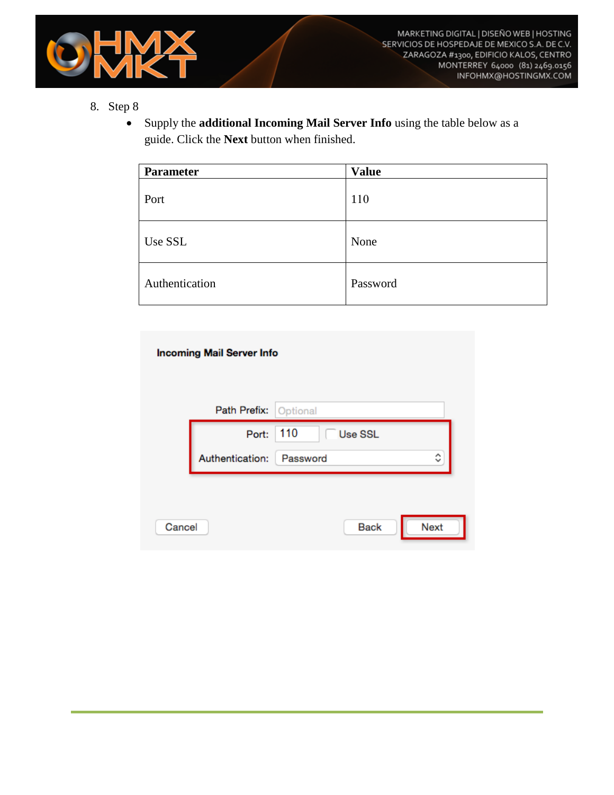

 Supply the **additional Incoming Mail Server Info** using the table below as a guide. Click the **Next** button when finished.

| Parameter      | <b>Value</b> |
|----------------|--------------|
| Port           | 110          |
| Use SSL        | None         |
| Authentication | Password     |

|        | <b>Incoming Mail Server Info</b> |                            |
|--------|----------------------------------|----------------------------|
|        | Path Prefix: Optional            |                            |
|        | Port:                            | 110<br>Use SSL             |
|        | Authentication: Password         | ᄉ<br>$\checkmark$          |
|        |                                  |                            |
|        |                                  |                            |
| Cancel |                                  | <b>Next</b><br><b>Back</b> |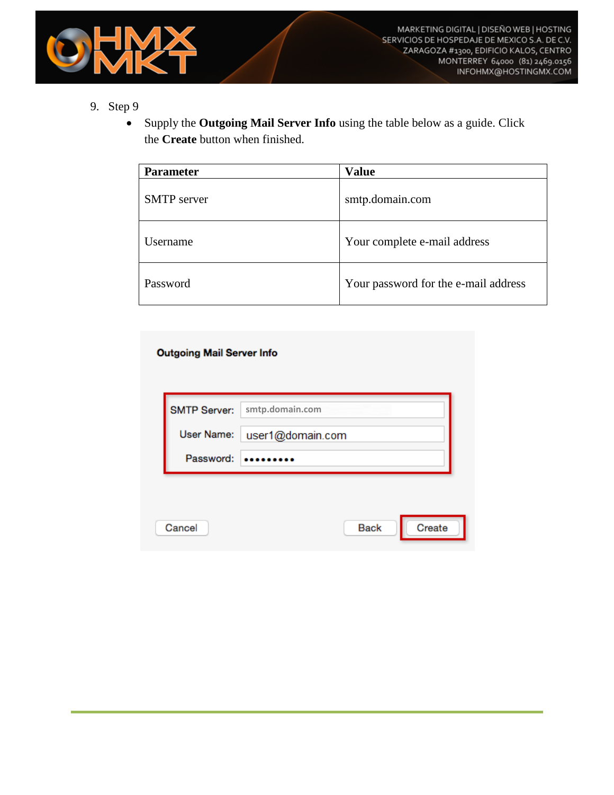

 Supply the **Outgoing Mail Server Info** using the table below as a guide. Click the **Create** button when finished.

| <b>Parameter</b>   | <b>Value</b>                         |
|--------------------|--------------------------------------|
| <b>SMTP</b> server | smtp.domain.com                      |
| Username           | Your complete e-mail address         |
| Password           | Your password for the e-mail address |

### **Outgoing Mail Server Info**

| <b>SMTP Server:</b> | smtp.domain.com       |
|---------------------|-----------------------|
| User Name:          | user1@domain.com      |
| Password:           |                       |
|                     |                       |
|                     |                       |
| Cancel              | Create<br><b>Back</b> |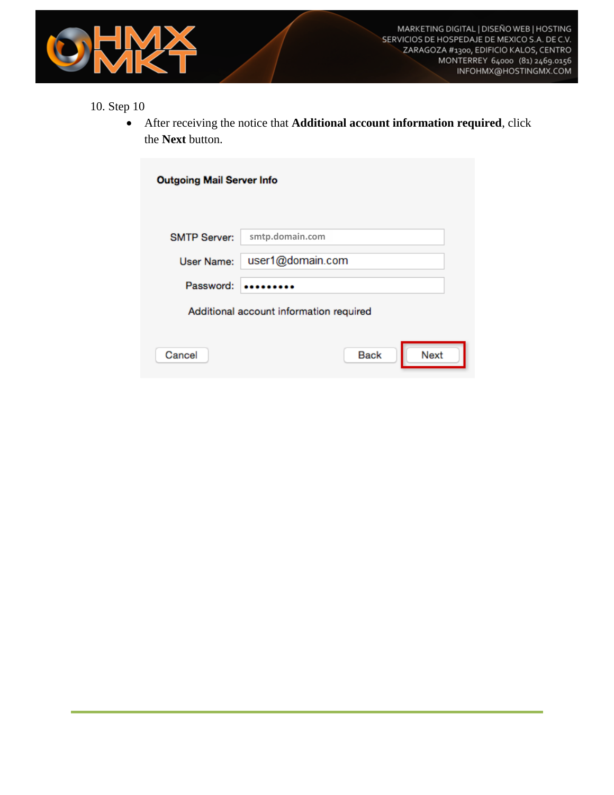

 After receiving the notice that **Additional account information required**, click the **Next** button.

| <b>Outgoing Mail Server Info</b>        |                            |  |  |
|-----------------------------------------|----------------------------|--|--|
| <b>SMTP Server:</b>                     | smtp.domain.com            |  |  |
| User Name:                              | user1@domain.com           |  |  |
| Password:                               |                            |  |  |
| Additional account information required |                            |  |  |
| Cancel                                  | <b>Next</b><br><b>Back</b> |  |  |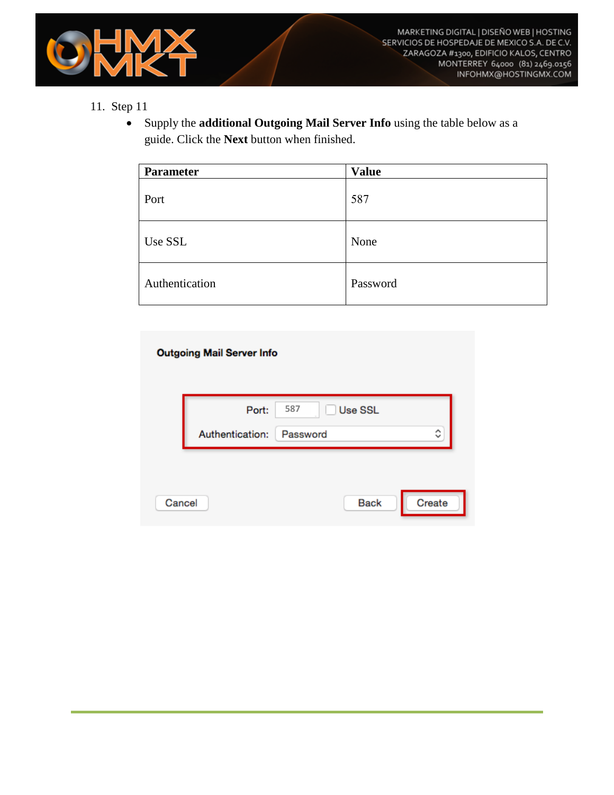

 Supply the **additional Outgoing Mail Server Info** using the table below as a guide. Click the **Next** button when finished.

| <b>Parameter</b> | <b>Value</b> |
|------------------|--------------|
| Port             | 587          |
| Use SSL          | None         |
| Authentication   | Password     |

### **Outgoing Mail Server Info**

|        | Port:           | 587<br>Use SSL |        |
|--------|-----------------|----------------|--------|
|        | Authentication: | Password       | ≎      |
|        |                 |                |        |
| Cancel |                 | <b>Back</b>    | Create |